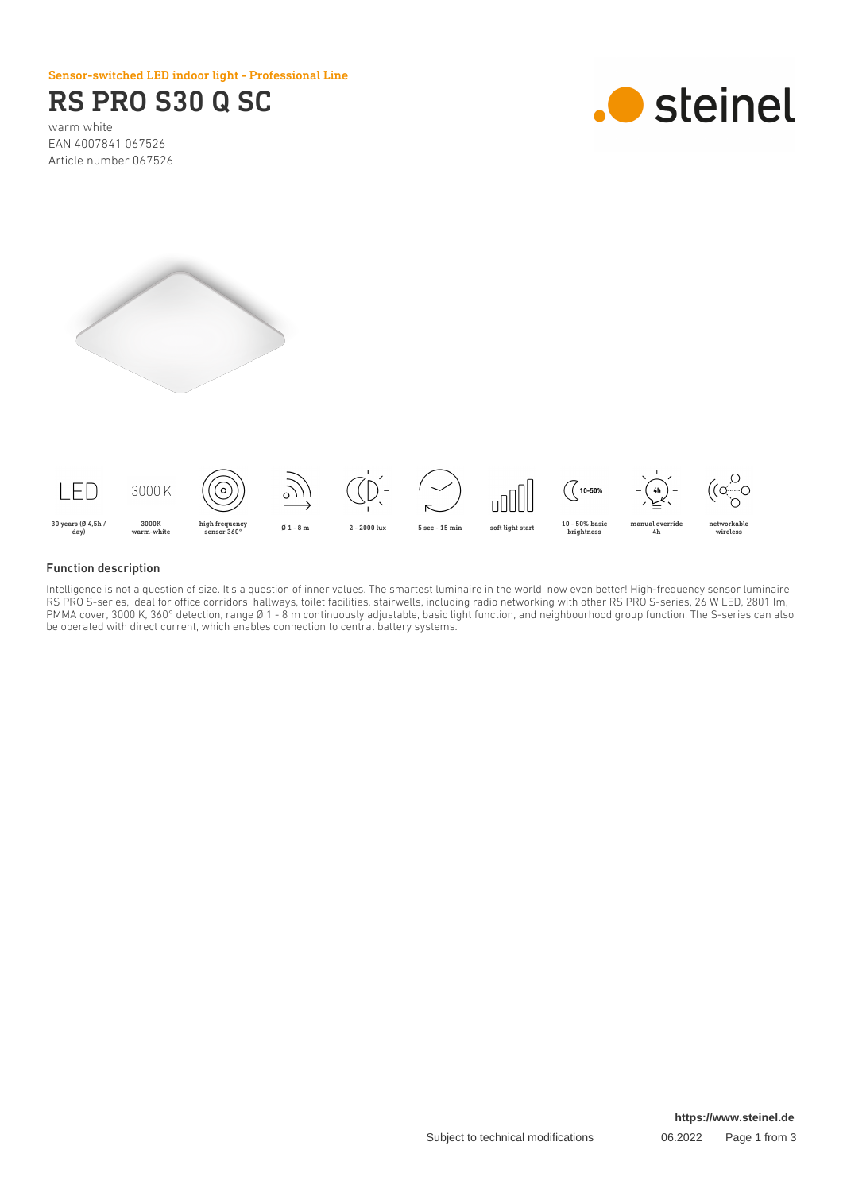Sensor-switched LED indoor light - Professional Line

# RS PRO S30 Q SC

warm white EAN 4007841 067526 Article number 067526







#### Function description

Intelligence is not a question of size. It's a question of inner values. The smartest luminaire in the world, now even better! High-frequency sensor luminaire RS PRO S-series, ideal for office corridors, hallways, toilet facilities, stairwells, including radio networking with other RS PRO S-series, 26 W LED, 2801 lm, PMMA cover, 3000 K, 360° detection, range Ø 1 - 8 m continuously adjustable, basic light function, and neighbourhood group function. The S-series can also be operated with direct current, which enables connection to central battery systems.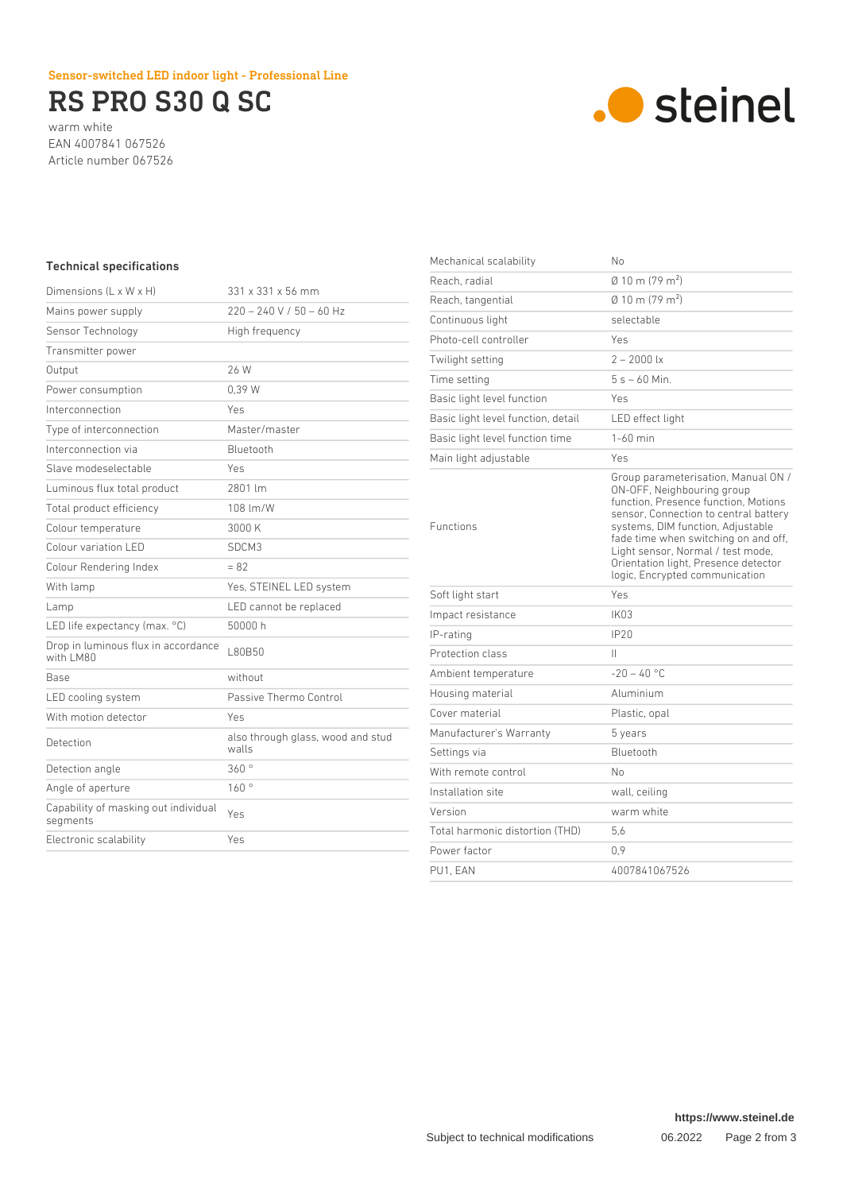## Sensor-switched LED indoor light - Professional Line

# RS PRO S30 Q SC

warm white EAN 4007841 067526 Article number 067526



### Technical specifications

| Dimensions $(L \times W \times H)$               | 331 x 331 x 56 mm                          |
|--------------------------------------------------|--------------------------------------------|
| Mains power supply                               | $220 - 240 V / 50 - 60 Hz$                 |
| Sensor Technology                                | High frequency                             |
| Transmitter power                                |                                            |
| Output                                           | 26 W                                       |
| Power consumption                                | 0.39 W                                     |
| Interconnection                                  | Yes                                        |
| Type of interconnection                          | Master/master                              |
| Interconnection via                              | Bluetooth                                  |
| Slave modeselectable                             | Yes                                        |
| Luminous flux total product                      | 2801 lm                                    |
| Total product efficiency                         | 108 lm/W                                   |
| Colour temperature                               | 3000 K                                     |
| Colour variation LED                             | SDCM3                                      |
| Colour Rendering Index                           | $= 82$                                     |
| With lamp                                        | Yes, STEINEL LED system                    |
| Lamp                                             | LED cannot be replaced                     |
| LED life expectancy (max. °C)                    | 50000 h                                    |
| Drop in luminous flux in accordance<br>with LM80 | L80B50                                     |
| <b>Base</b>                                      | without                                    |
| LED cooling system                               | Passive Thermo Control                     |
| With motion detector                             | Yes                                        |
| Detection                                        | also through glass, wood and stud<br>walls |
| Detection angle                                  | 360°                                       |
| Angle of aperture                                | 160°                                       |
| Capability of masking out individual<br>segments | Yes                                        |
| Electronic scalability                           | Yes                                        |
|                                                  |                                            |

| Mechanical scalability             | No                                                                                                                                                                                                                                                                                                                                             |
|------------------------------------|------------------------------------------------------------------------------------------------------------------------------------------------------------------------------------------------------------------------------------------------------------------------------------------------------------------------------------------------|
| Reach, radial                      | $\emptyset$ 10 m (79 m <sup>2</sup> )                                                                                                                                                                                                                                                                                                          |
| Reach, tangential                  | $(0.10 \text{ m} (79 \text{ m}^2))$                                                                                                                                                                                                                                                                                                            |
| Continuous light                   | selectable                                                                                                                                                                                                                                                                                                                                     |
| Photo-cell controller              | Yes                                                                                                                                                                                                                                                                                                                                            |
| Twilight setting                   | $2 - 2000$ lx                                                                                                                                                                                                                                                                                                                                  |
| Time setting                       | $5s - 60$ Min.                                                                                                                                                                                                                                                                                                                                 |
| Basic light level function         | Yes                                                                                                                                                                                                                                                                                                                                            |
| Basic light level function, detail | LED effect light                                                                                                                                                                                                                                                                                                                               |
| Basic light level function time    | $1-60$ min                                                                                                                                                                                                                                                                                                                                     |
| Main light adjustable              | Yes                                                                                                                                                                                                                                                                                                                                            |
| <b>Functions</b>                   | Group parameterisation, Manual ON /<br>ON-OFF, Neighbouring group<br>function, Presence function, Motions<br>sensor, Connection to central battery<br>systems, DIM function, Adjustable<br>fade time when switching on and off,<br>Light sensor, Normal / test mode,<br>Orientation light, Presence detector<br>logic, Encrypted communication |
| Soft light start                   | Yes                                                                                                                                                                                                                                                                                                                                            |
| Impact resistance                  | IK <sub>03</sub>                                                                                                                                                                                                                                                                                                                               |
| IP-rating                          | IP20                                                                                                                                                                                                                                                                                                                                           |
| Protection class                   | Ш                                                                                                                                                                                                                                                                                                                                              |
| Ambient temperature                | $-20 - 40$ °C                                                                                                                                                                                                                                                                                                                                  |
| Housing material                   | Aluminium                                                                                                                                                                                                                                                                                                                                      |
| Cover material                     | Plastic, opal                                                                                                                                                                                                                                                                                                                                  |
| Manufacturer's Warranty            | 5 years                                                                                                                                                                                                                                                                                                                                        |
| Settings via                       | Bluetooth                                                                                                                                                                                                                                                                                                                                      |
| With remote control                | No                                                                                                                                                                                                                                                                                                                                             |
| Installation site                  | wall, ceiling                                                                                                                                                                                                                                                                                                                                  |
| Version                            | warm white                                                                                                                                                                                                                                                                                                                                     |
| Total harmonic distortion (THD)    | 5.6                                                                                                                                                                                                                                                                                                                                            |
| Power factor                       | 0.9                                                                                                                                                                                                                                                                                                                                            |
| PU1. EAN                           | 4007841067526                                                                                                                                                                                                                                                                                                                                  |